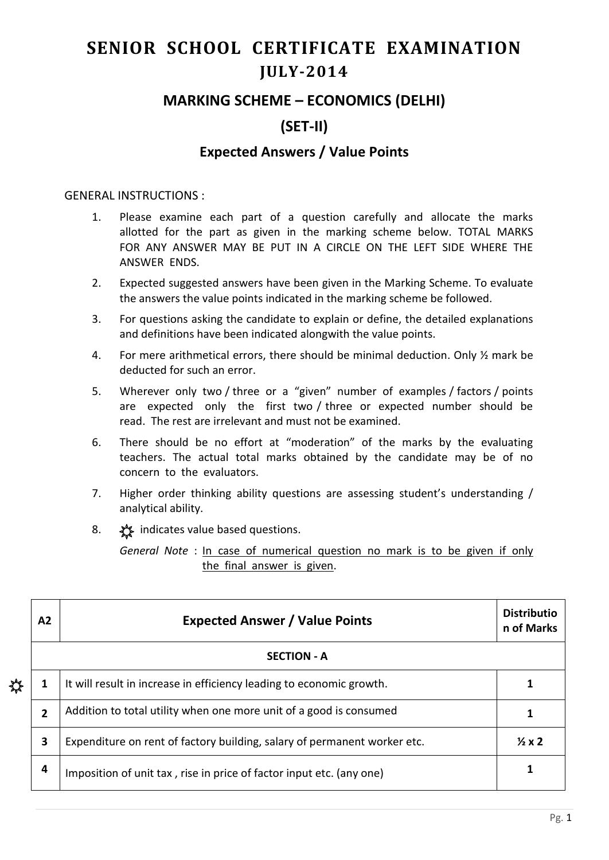# **SENIOR SCHOOL CERTIFICATE EXAMINATION JULY-2014**

## **MARKING SCHEME – ECONOMICS (DELHI)**

# **(SET-II)**

### **Expected Answers / Value Points**

#### GENERAL INSTRUCTIONS :

- 1. Please examine each part of a question carefully and allocate the marks allotted for the part as given in the marking scheme below. TOTAL MARKS FOR ANY ANSWER MAY BE PUT IN A CIRCLE ON THE LEFT SIDE WHERE THE ANSWER ENDS.
- 2. Expected suggested answers have been given in the Marking Scheme. To evaluate the answers the value points indicated in the marking scheme be followed.
- 3. For questions asking the candidate to explain or define, the detailed explanations and definitions have been indicated alongwith the value points.
- 4. For mere arithmetical errors, there should be minimal deduction. Only ½ mark be deducted for such an error.
- 5. Wherever only two / three or a "given" number of examples / factors / points are expected only the first two / three or expected number should be read. The rest are irrelevant and must not be examined.
- 6. There should be no effort at "moderation" of the marks by the evaluating teachers. The actual total marks obtained by the candidate may be of no concern to the evaluators.
- 7. Higher order thinking ability questions are assessing student's understanding / analytical ability.
- 8.  $\frac{1}{2}$  indicates value based questions.

*General Note* : In case of numerical question no mark is to be given if only the final answer is given.

|   | A2             | <b>Expected Answer / Value Points</b>                                    |  |  |  |  |  |  |  |  |
|---|----------------|--------------------------------------------------------------------------|--|--|--|--|--|--|--|--|
|   |                | <b>SECTION - A</b>                                                       |  |  |  |  |  |  |  |  |
| ╬ | 1              | It will result in increase in efficiency leading to economic growth.     |  |  |  |  |  |  |  |  |
|   | $\overline{2}$ | Addition to total utility when one more unit of a good is consumed       |  |  |  |  |  |  |  |  |
|   | 3              | Expenditure on rent of factory building, salary of permanent worker etc. |  |  |  |  |  |  |  |  |
|   | 4              | Imposition of unit tax, rise in price of factor input etc. (any one)     |  |  |  |  |  |  |  |  |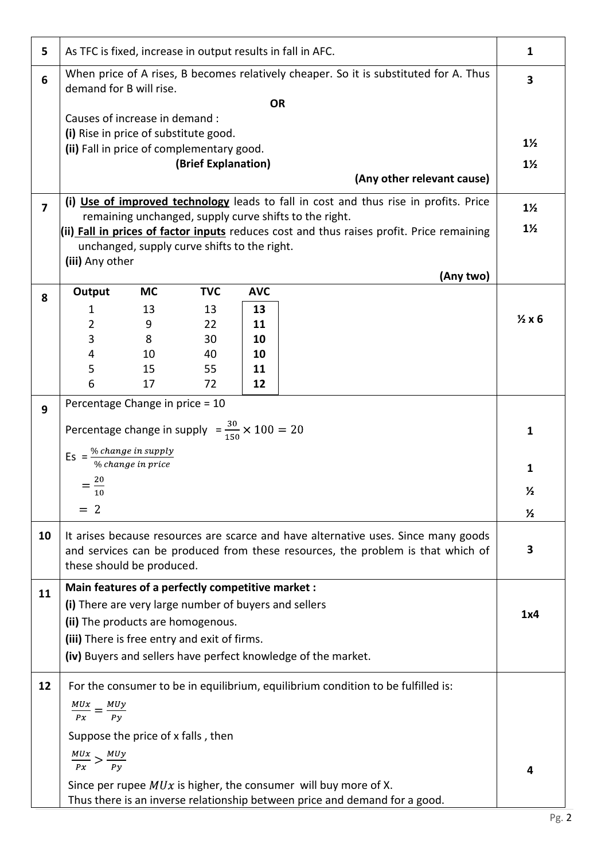| 5                       | As TFC is fixed, increase in output results in fall in AFC.                                                                                     |                                              |                     |            |                                                                                           | $\mathbf{1}$    |  |  |
|-------------------------|-------------------------------------------------------------------------------------------------------------------------------------------------|----------------------------------------------|---------------------|------------|-------------------------------------------------------------------------------------------|-----------------|--|--|
| $6\phantom{1}$          | When price of A rises, B becomes relatively cheaper. So it is substituted for A. Thus<br>demand for B will rise.                                |                                              |                     |            |                                                                                           |                 |  |  |
|                         | <b>OR</b><br>Causes of increase in demand :                                                                                                     |                                              |                     |            |                                                                                           |                 |  |  |
|                         | (i) Rise in price of substitute good.                                                                                                           |                                              |                     |            |                                                                                           |                 |  |  |
|                         | (ii) Fall in price of complementary good.                                                                                                       |                                              |                     |            |                                                                                           | $1\frac{1}{2}$  |  |  |
|                         |                                                                                                                                                 |                                              | (Brief Explanation) |            |                                                                                           | $1\frac{1}{2}$  |  |  |
|                         |                                                                                                                                                 |                                              |                     |            | (Any other relevant cause)                                                                |                 |  |  |
| $\overline{\mathbf{z}}$ |                                                                                                                                                 |                                              |                     |            | (i) Use of improved technology leads to fall in cost and thus rise in profits. Price      | $1\frac{1}{2}$  |  |  |
|                         |                                                                                                                                                 |                                              |                     |            | remaining unchanged, supply curve shifts to the right.                                    |                 |  |  |
|                         |                                                                                                                                                 |                                              |                     |            | (ii) Fall in prices of factor inputs reduces cost and thus raises profit. Price remaining | $1\frac{1}{2}$  |  |  |
|                         |                                                                                                                                                 | unchanged, supply curve shifts to the right. |                     |            |                                                                                           |                 |  |  |
|                         | (iii) Any other                                                                                                                                 |                                              |                     |            | (Any two)                                                                                 |                 |  |  |
|                         | Output                                                                                                                                          | <b>MC</b>                                    | <b>TVC</b>          | <b>AVC</b> |                                                                                           |                 |  |  |
| 8                       | 1                                                                                                                                               | 13                                           | 13                  | 13         |                                                                                           |                 |  |  |
|                         | 2                                                                                                                                               | 9                                            | 22                  | 11         |                                                                                           | $\frac{1}{2}x6$ |  |  |
|                         | 3                                                                                                                                               | 8                                            | 30                  | 10         |                                                                                           |                 |  |  |
|                         | 4                                                                                                                                               | 10                                           | 40                  | 10         |                                                                                           |                 |  |  |
|                         | 5                                                                                                                                               | 15                                           | 55                  | 11         |                                                                                           |                 |  |  |
|                         | 6                                                                                                                                               | 17                                           | 72                  | 12         |                                                                                           |                 |  |  |
| 9                       | Percentage Change in price = 10                                                                                                                 |                                              |                     |            |                                                                                           |                 |  |  |
|                         |                                                                                                                                                 |                                              |                     |            |                                                                                           | $\mathbf{1}$    |  |  |
|                         | Percentage change in supply $=\frac{30}{150} \times 100 = 20$                                                                                   |                                              |                     |            |                                                                                           |                 |  |  |
|                         | Es = $\frac{\% \ change \ in \ supply}{\% \ change \ in \ price}$                                                                               |                                              |                     |            |                                                                                           |                 |  |  |
|                         |                                                                                                                                                 |                                              |                     |            |                                                                                           | $\mathbf{1}$    |  |  |
|                         | $=$ $\frac{20}{}$<br>10                                                                                                                         |                                              |                     |            |                                                                                           |                 |  |  |
|                         | $= 2$                                                                                                                                           |                                              |                     |            |                                                                                           |                 |  |  |
|                         |                                                                                                                                                 |                                              |                     |            |                                                                                           | $\frac{1}{2}$   |  |  |
| 10                      | It arises because resources are scarce and have alternative uses. Since many goods                                                              |                                              |                     |            |                                                                                           |                 |  |  |
|                         | and services can be produced from these resources, the problem is that which of<br>these should be produced.                                    |                                              |                     |            |                                                                                           |                 |  |  |
|                         |                                                                                                                                                 |                                              |                     |            |                                                                                           |                 |  |  |
| 11                      | Main features of a perfectly competitive market :                                                                                               |                                              |                     |            |                                                                                           |                 |  |  |
|                         | (i) There are very large number of buyers and sellers                                                                                           |                                              |                     |            |                                                                                           | 1x4             |  |  |
|                         | (ii) The products are homogenous.                                                                                                               |                                              |                     |            |                                                                                           |                 |  |  |
|                         | (iii) There is free entry and exit of firms.                                                                                                    |                                              |                     |            |                                                                                           |                 |  |  |
|                         |                                                                                                                                                 |                                              |                     |            | (iv) Buyers and sellers have perfect knowledge of the market.                             |                 |  |  |
| 12                      |                                                                                                                                                 |                                              |                     |            | For the consumer to be in equilibrium, equilibrium condition to be fulfilled is:          |                 |  |  |
|                         |                                                                                                                                                 |                                              |                     |            |                                                                                           |                 |  |  |
|                         | $\frac{MUx}{Px} = \frac{MUy}{Py}$                                                                                                               |                                              |                     |            |                                                                                           |                 |  |  |
|                         |                                                                                                                                                 | Suppose the price of x falls, then           |                     |            |                                                                                           |                 |  |  |
|                         |                                                                                                                                                 |                                              |                     |            |                                                                                           |                 |  |  |
|                         | $\frac{MUx}{Px} > \frac{MUy}{Py}$                                                                                                               |                                              |                     |            |                                                                                           | 4               |  |  |
|                         |                                                                                                                                                 |                                              |                     |            |                                                                                           |                 |  |  |
|                         | Since per rupee $MUx$ is higher, the consumer will buy more of X.<br>Thus there is an inverse relationship between price and demand for a good. |                                              |                     |            |                                                                                           |                 |  |  |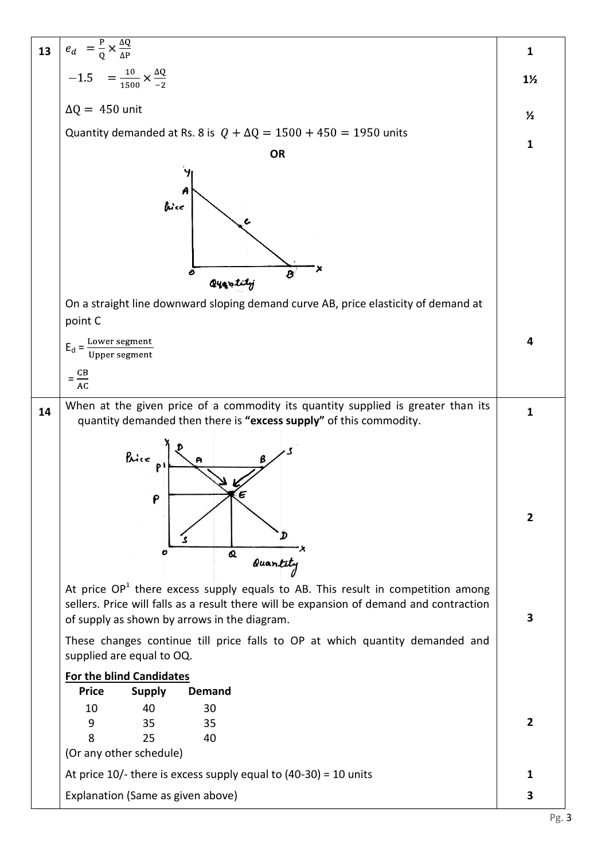| 13 | $e_d = \frac{P}{Q} \times \frac{\Delta Q}{\Delta P}$                                                                                                                                                                         | 1              |  |  |  |  |  |
|----|------------------------------------------------------------------------------------------------------------------------------------------------------------------------------------------------------------------------------|----------------|--|--|--|--|--|
|    | $-1.5 = \frac{10}{1500} \times \frac{\Delta Q}{2}$                                                                                                                                                                           | $1\frac{1}{2}$ |  |  |  |  |  |
|    | $\Delta Q = 450$ unit                                                                                                                                                                                                        | $\frac{1}{2}$  |  |  |  |  |  |
|    | Quantity demanded at Rs. 8 is $Q + \Delta Q = 1500 + 450 = 1950$ units                                                                                                                                                       |                |  |  |  |  |  |
|    | <b>OR</b>                                                                                                                                                                                                                    | 1              |  |  |  |  |  |
|    | A<br>bice<br>o<br>Quantity                                                                                                                                                                                                   |                |  |  |  |  |  |
|    | On a straight line downward sloping demand curve AB, price elasticity of demand at<br>point C                                                                                                                                |                |  |  |  |  |  |
|    | $E_d = \frac{Lower segment}{Upper segment}$                                                                                                                                                                                  | 4              |  |  |  |  |  |
|    | $=\frac{CB}{AC}$                                                                                                                                                                                                             |                |  |  |  |  |  |
| 14 | When at the given price of a commodity its quantity supplied is greater than its<br>quantity demanded then there is "excess supply" of this commodity.                                                                       | 1              |  |  |  |  |  |
|    | Rate<br>P<br>$\boldsymbol{\alpha}$<br>Quantity                                                                                                                                                                               | $\overline{2}$ |  |  |  |  |  |
|    | At price $OP1$ there excess supply equals to AB. This result in competition among<br>sellers. Price will falls as a result there will be expansion of demand and contraction<br>of supply as shown by arrows in the diagram. | 3              |  |  |  |  |  |
|    | These changes continue till price falls to OP at which quantity demanded and<br>supplied are equal to OQ.                                                                                                                    |                |  |  |  |  |  |
|    | <b>For the blind Candidates</b><br><b>Price</b><br><b>Demand</b>                                                                                                                                                             |                |  |  |  |  |  |
|    | <b>Supply</b><br>10<br>40<br>30<br>35<br>35<br>9<br>8<br>25<br>40<br>(Or any other schedule)                                                                                                                                 | $\overline{2}$ |  |  |  |  |  |
|    | At price $10/-$ there is excess supply equal to (40-30) = 10 units                                                                                                                                                           | 1              |  |  |  |  |  |
|    | Explanation (Same as given above)                                                                                                                                                                                            | 3              |  |  |  |  |  |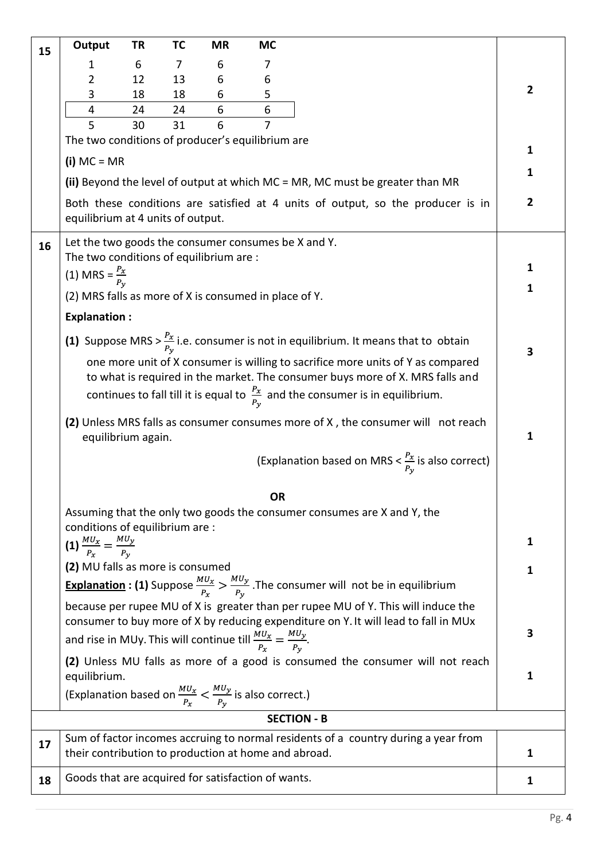| 15 | Output                                                                                                 | TR       | TC       | <b>MR</b> | <b>MC</b>           |                                                                                                                                                                                                                                                                 |                |
|----|--------------------------------------------------------------------------------------------------------|----------|----------|-----------|---------------------|-----------------------------------------------------------------------------------------------------------------------------------------------------------------------------------------------------------------------------------------------------------------|----------------|
|    | 1                                                                                                      | 6        | 7        | 6         | 7                   |                                                                                                                                                                                                                                                                 |                |
|    | 2                                                                                                      | 12       | 13       | 6         | 6                   |                                                                                                                                                                                                                                                                 | $\overline{2}$ |
|    | 3                                                                                                      | 18       | 18       | 6         | 5                   |                                                                                                                                                                                                                                                                 |                |
|    | $\overline{\mathbf{4}}$<br>5                                                                           | 24<br>30 | 24<br>31 | 6<br>6    | 6<br>$\overline{7}$ |                                                                                                                                                                                                                                                                 |                |
|    | The two conditions of producer's equilibrium are                                                       |          |          |           |                     |                                                                                                                                                                                                                                                                 |                |
|    | $(i) MC = MR$                                                                                          |          |          |           |                     |                                                                                                                                                                                                                                                                 | 1              |
|    |                                                                                                        |          |          |           |                     | (ii) Beyond the level of output at which MC = MR, MC must be greater than MR                                                                                                                                                                                    | 1              |
|    | equilibrium at 4 units of output.                                                                      |          |          |           |                     | Both these conditions are satisfied at 4 units of output, so the producer is in                                                                                                                                                                                 | $\overline{2}$ |
| 16 | Let the two goods the consumer consumes be X and Y.                                                    |          |          |           |                     |                                                                                                                                                                                                                                                                 |                |
|    | The two conditions of equilibrium are :                                                                |          |          |           |                     |                                                                                                                                                                                                                                                                 | 1              |
|    | (1) MRS = $\frac{P_x}{P_y}$                                                                            |          |          |           |                     |                                                                                                                                                                                                                                                                 |                |
|    | (2) MRS falls as more of X is consumed in place of Y.                                                  |          |          |           |                     |                                                                                                                                                                                                                                                                 | 1              |
|    | <b>Explanation:</b>                                                                                    |          |          |           |                     |                                                                                                                                                                                                                                                                 |                |
|    |                                                                                                        |          |          |           |                     | (1) Suppose MRS > $\frac{P_x}{P_v}$ i.e. consumer is not in equilibrium. It means that to obtain                                                                                                                                                                | 3              |
|    |                                                                                                        |          |          |           |                     | one more unit of X consumer is willing to sacrifice more units of Y as compared<br>to what is required in the market. The consumer buys more of X. MRS falls and<br>continues to fall till it is equal to $\frac{P_x}{P_y}$ and the consumer is in equilibrium. |                |
|    | (2) Unless MRS falls as consumer consumes more of X, the consumer will not reach<br>equilibrium again. |          |          |           |                     |                                                                                                                                                                                                                                                                 |                |
|    |                                                                                                        |          |          |           |                     | (Explanation based on MRS $<\frac{P_x}{P_v}$ is also correct)                                                                                                                                                                                                   |                |
|    |                                                                                                        |          |          |           | <b>OR</b>           |                                                                                                                                                                                                                                                                 |                |
|    | conditions of equilibrium are :                                                                        |          |          |           |                     | Assuming that the only two goods the consumer consumes are X and Y, the                                                                                                                                                                                         |                |
|    | (1) $\frac{MU_x}{P_x} = \frac{MU_y}{P_y}$                                                              |          |          |           |                     |                                                                                                                                                                                                                                                                 | 1              |
|    | (2) MU falls as more is consumed                                                                       |          |          |           |                     |                                                                                                                                                                                                                                                                 |                |
|    |                                                                                                        |          |          |           |                     | <b>Explanation : (1)</b> Suppose $\frac{M U_x}{P_x} > \frac{M U_y}{P_y}$ . The consumer will not be in equilibrium                                                                                                                                              | 1              |
|    |                                                                                                        |          |          |           |                     | because per rupee MU of X is greater than per rupee MU of Y. This will induce the                                                                                                                                                                               |                |
|    |                                                                                                        |          |          |           |                     | consumer to buy more of X by reducing expenditure on Y. It will lead to fall in MUx                                                                                                                                                                             | 3              |
|    | and rise in MUy. This will continue till $\frac{MU_x}{P_x} = \frac{MU_y}{P_y}$ .                       |          |          |           |                     |                                                                                                                                                                                                                                                                 |                |
|    | equilibrium.                                                                                           |          |          |           |                     | (2) Unless MU falls as more of a good is consumed the consumer will not reach                                                                                                                                                                                   | 1              |
|    | (Explanation based on $\frac{MU_x}{P_x} < \frac{MU_y}{P_y}$ is also correct.)                          |          |          |           |                     |                                                                                                                                                                                                                                                                 |                |
|    |                                                                                                        |          |          |           |                     | <b>SECTION - B</b>                                                                                                                                                                                                                                              |                |
| 17 |                                                                                                        |          |          |           |                     | Sum of factor incomes accruing to normal residents of a country during a year from                                                                                                                                                                              |                |
|    | their contribution to production at home and abroad.                                                   |          |          |           |                     |                                                                                                                                                                                                                                                                 | 1              |
| 18 | Goods that are acquired for satisfaction of wants.                                                     |          |          |           |                     |                                                                                                                                                                                                                                                                 | 1              |
|    |                                                                                                        |          |          |           |                     |                                                                                                                                                                                                                                                                 |                |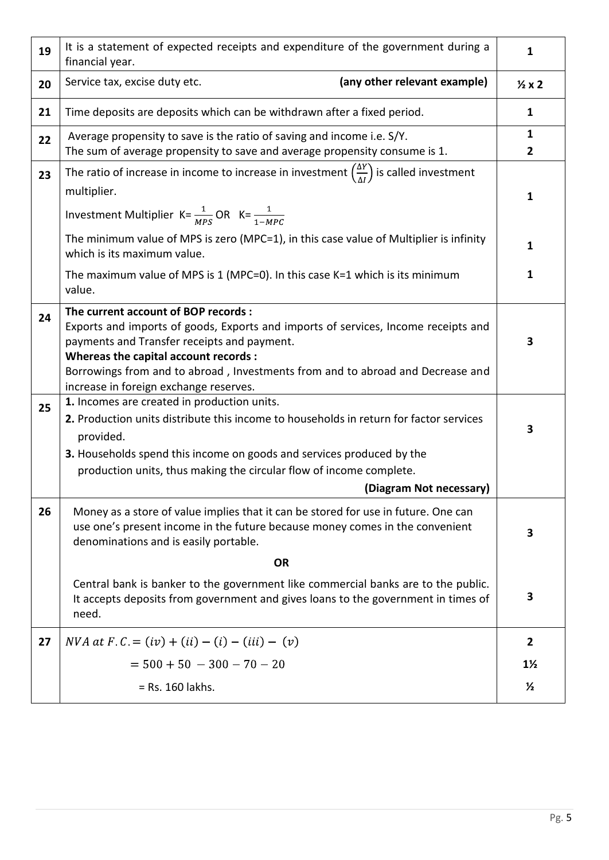| 19 | It is a statement of expected receipts and expenditure of the government during a<br>financial year.                                                                                                                                                                                                                                           | 1                   |  |  |  |
|----|------------------------------------------------------------------------------------------------------------------------------------------------------------------------------------------------------------------------------------------------------------------------------------------------------------------------------------------------|---------------------|--|--|--|
| 20 | (any other relevant example)<br>Service tax, excise duty etc.                                                                                                                                                                                                                                                                                  | $\frac{1}{2}x2$     |  |  |  |
| 21 | Time deposits are deposits which can be withdrawn after a fixed period.                                                                                                                                                                                                                                                                        | 1                   |  |  |  |
| 22 | Average propensity to save is the ratio of saving and income i.e. S/Y.<br>The sum of average propensity to save and average propensity consume is 1.                                                                                                                                                                                           | 1<br>$\overline{2}$ |  |  |  |
| 23 | The ratio of increase in income to increase in investment $\left(\frac{\Delta Y}{\Delta l}\right)$ is called investment<br>multiplier.                                                                                                                                                                                                         | 1                   |  |  |  |
|    | Investment Multiplier K= $\frac{1}{MPS}$ OR K= $\frac{1}{1-MPC}$                                                                                                                                                                                                                                                                               |                     |  |  |  |
|    | The minimum value of MPS is zero (MPC=1), in this case value of Multiplier is infinity<br>which is its maximum value.                                                                                                                                                                                                                          | 1                   |  |  |  |
|    | The maximum value of MPS is $1$ (MPC=0). In this case $K=1$ which is its minimum<br>value.                                                                                                                                                                                                                                                     | 1                   |  |  |  |
| 24 | The current account of BOP records :<br>Exports and imports of goods, Exports and imports of services, Income receipts and<br>payments and Transfer receipts and payment.<br>Whereas the capital account records :<br>Borrowings from and to abroad, Investments from and to abroad and Decrease and<br>increase in foreign exchange reserves. | 3                   |  |  |  |
| 25 | 1. Incomes are created in production units.<br>2. Production units distribute this income to households in return for factor services<br>provided.<br>3. Households spend this income on goods and services produced by the<br>production units, thus making the circular flow of income complete.<br>(Diagram Not necessary)                  | 3                   |  |  |  |
| 26 | Money as a store of value implies that it can be stored for use in future. One can<br>use one's present income in the future because money comes in the convenient<br>denominations and is easily portable.<br><b>OR</b>                                                                                                                       | 3                   |  |  |  |
|    | Central bank is banker to the government like commercial banks are to the public.<br>It accepts deposits from government and gives loans to the government in times of<br>need.                                                                                                                                                                | 3                   |  |  |  |
| 27 | $NVA$ at $F.C. = (iv) + (ii) - (i) - (iii) - (v)$                                                                                                                                                                                                                                                                                              | $\mathbf{2}$        |  |  |  |
|    | $= 500 + 50 - 300 - 70 - 20$                                                                                                                                                                                                                                                                                                                   | $1\frac{1}{2}$      |  |  |  |
|    | $=$ Rs. 160 lakhs.                                                                                                                                                                                                                                                                                                                             | $\frac{1}{2}$       |  |  |  |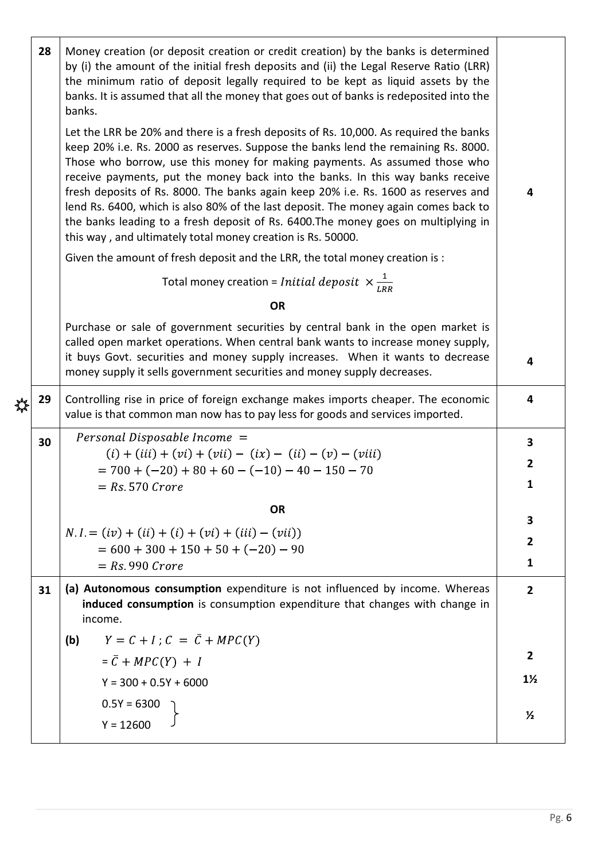|   | 28 | Money creation (or deposit creation or credit creation) by the banks is determined<br>by (i) the amount of the initial fresh deposits and (ii) the Legal Reserve Ratio (LRR)<br>the minimum ratio of deposit legally required to be kept as liquid assets by the<br>banks. It is assumed that all the money that goes out of banks is redeposited into the<br>banks.<br>Let the LRR be 20% and there is a fresh deposits of Rs. 10,000. As required the banks<br>keep 20% i.e. Rs. 2000 as reserves. Suppose the banks lend the remaining Rs. 8000.<br>Those who borrow, use this money for making payments. As assumed those who<br>receive payments, put the money back into the banks. In this way banks receive<br>fresh deposits of Rs. 8000. The banks again keep 20% i.e. Rs. 1600 as reserves and<br>lend Rs. 6400, which is also 80% of the last deposit. The money again comes back to<br>the banks leading to a fresh deposit of Rs. 6400. The money goes on multiplying in<br>this way, and ultimately total money creation is Rs. 50000.<br>Given the amount of fresh deposit and the LRR, the total money creation is : |                          |  |  |  |  |
|---|----|---------------------------------------------------------------------------------------------------------------------------------------------------------------------------------------------------------------------------------------------------------------------------------------------------------------------------------------------------------------------------------------------------------------------------------------------------------------------------------------------------------------------------------------------------------------------------------------------------------------------------------------------------------------------------------------------------------------------------------------------------------------------------------------------------------------------------------------------------------------------------------------------------------------------------------------------------------------------------------------------------------------------------------------------------------------------------------------------------------------------------------------|--------------------------|--|--|--|--|
|   |    | Total money creation = <i>Initial deposit</i> $\times \frac{1}{IBR}$                                                                                                                                                                                                                                                                                                                                                                                                                                                                                                                                                                                                                                                                                                                                                                                                                                                                                                                                                                                                                                                                  |                          |  |  |  |  |
|   |    | <b>OR</b><br>Purchase or sale of government securities by central bank in the open market is<br>called open market operations. When central bank wants to increase money supply,<br>it buys Govt. securities and money supply increases. When it wants to decrease<br>money supply it sells government securities and money supply decreases.                                                                                                                                                                                                                                                                                                                                                                                                                                                                                                                                                                                                                                                                                                                                                                                         | 4                        |  |  |  |  |
| ╬ | 29 | Controlling rise in price of foreign exchange makes imports cheaper. The economic<br>value is that common man now has to pay less for goods and services imported.                                                                                                                                                                                                                                                                                                                                                                                                                                                                                                                                                                                                                                                                                                                                                                                                                                                                                                                                                                    | 4                        |  |  |  |  |
|   | 30 | Personal Disposable Income =<br>$(i) + (iii) + (vi) + (vii) - (ix) - (ii) - (v) - (viii)$<br>$= 700 + (-20) + 80 + 60 - (-10) - 40 - 150 - 70$<br>$= Rs 570$ Crore                                                                                                                                                                                                                                                                                                                                                                                                                                                                                                                                                                                                                                                                                                                                                                                                                                                                                                                                                                    | 3<br>$\overline{2}$<br>1 |  |  |  |  |
|   |    | <b>OR</b>                                                                                                                                                                                                                                                                                                                                                                                                                                                                                                                                                                                                                                                                                                                                                                                                                                                                                                                                                                                                                                                                                                                             | 3                        |  |  |  |  |
|   |    | $N.I = (iv) + (ii) + (i) + (vi) + (iii) - (vii)$<br>$= 600 + 300 + 150 + 50 + (-20) - 90$<br>$=$ Rs 990 Crore                                                                                                                                                                                                                                                                                                                                                                                                                                                                                                                                                                                                                                                                                                                                                                                                                                                                                                                                                                                                                         | $\mathbf{2}$<br>1        |  |  |  |  |
|   | 31 | (a) Autonomous consumption expenditure is not influenced by income. Whereas<br>induced consumption is consumption expenditure that changes with change in<br>income.                                                                                                                                                                                                                                                                                                                                                                                                                                                                                                                                                                                                                                                                                                                                                                                                                                                                                                                                                                  | $\overline{2}$           |  |  |  |  |
|   |    | $Y = C + I$ ; $C = \overline{C} + MPC(Y)$<br>(b)<br>$=\bar{C} + MPC(Y) + I$                                                                                                                                                                                                                                                                                                                                                                                                                                                                                                                                                                                                                                                                                                                                                                                                                                                                                                                                                                                                                                                           | $\overline{2}$           |  |  |  |  |
|   |    | $Y = 300 + 0.5Y + 6000$                                                                                                                                                                                                                                                                                                                                                                                                                                                                                                                                                                                                                                                                                                                                                                                                                                                                                                                                                                                                                                                                                                               | $1\frac{1}{2}$           |  |  |  |  |
|   |    | $0.5Y = 6300$<br>$Y = 12600$                                                                                                                                                                                                                                                                                                                                                                                                                                                                                                                                                                                                                                                                                                                                                                                                                                                                                                                                                                                                                                                                                                          | $\frac{1}{2}$            |  |  |  |  |